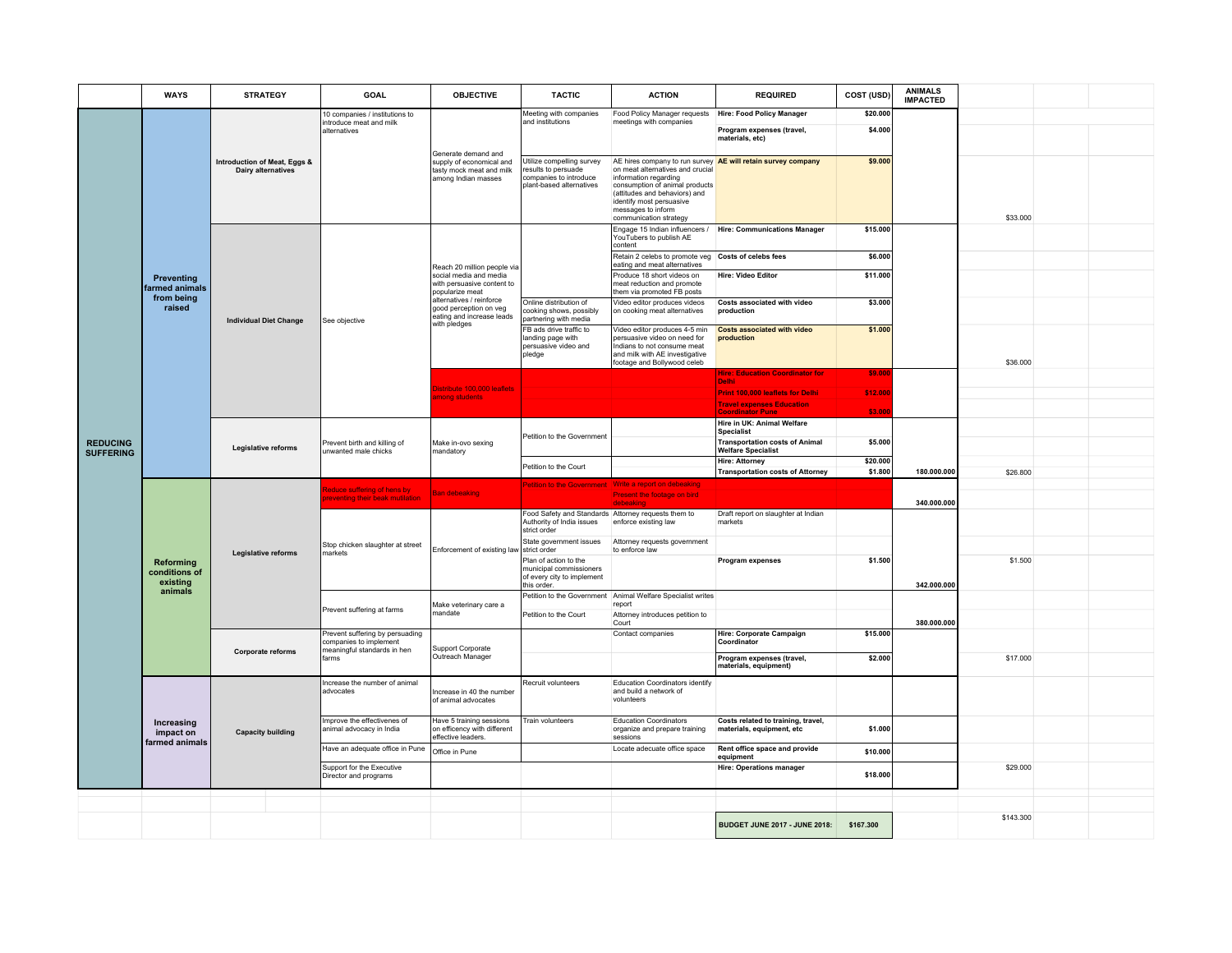|                  | <b>WAYS</b>                                                 | <b>STRATEGY</b>                                    | GOAL                                                           | <b>OBJECTIVE</b>                                                                                                                                                                                          | <b>TACTIC</b>                                                                                          | <b>ACTION</b>                                                                                                                                                                                            | <b>REQUIRED</b>                                                 | COST (USD) | <b>ANIMALS</b><br><b>IMPACTED</b> |           |  |
|------------------|-------------------------------------------------------------|----------------------------------------------------|----------------------------------------------------------------|-----------------------------------------------------------------------------------------------------------------------------------------------------------------------------------------------------------|--------------------------------------------------------------------------------------------------------|----------------------------------------------------------------------------------------------------------------------------------------------------------------------------------------------------------|-----------------------------------------------------------------|------------|-----------------------------------|-----------|--|
|                  | <b>Preventing</b><br>farmed animals<br>from being<br>raised | Introduction of Meat, Eggs &<br>Dairy alternatives | 10 companies / institutions to<br>introduce meat and milk      | Generate demand and<br>supply of economical and<br>tasty mock meat and milk<br>among Indian masses                                                                                                        | Meeting with companies<br>and institutions                                                             | Food Policy Manager requests   Hire: Food Policy Manager<br>meetings with companies                                                                                                                      |                                                                 | \$20.000   |                                   |           |  |
|                  |                                                             |                                                    | alternatives                                                   |                                                                                                                                                                                                           |                                                                                                        |                                                                                                                                                                                                          | Program expenses (travel,<br>materials, etc)                    | \$4.000    |                                   |           |  |
|                  |                                                             |                                                    |                                                                |                                                                                                                                                                                                           | Utilize compelling survey<br>results to persuade<br>companies to introduce<br>plant-based alternatives | on meat alternatives and crucial<br>information regarding<br>consumption of animal products<br>(attitudes and behaviors) and<br>identify most persuasive<br>messages to inform<br>communication strategy | AE hires company to run survey AE will retain survey company    | \$9.000    |                                   | \$33.000  |  |
|                  |                                                             | <b>Individual Diet Change</b>                      | See objective                                                  | Reach 20 million people via<br>social media and media<br>with persuasive content to<br>popularize meat<br>alternatives / reinforce<br>good perception on veg<br>eating and increase leads<br>with pledges |                                                                                                        | YouTubers to publish AE<br>content                                                                                                                                                                       | Engage 15 Indian influencers / Hire: Communications Manager     | \$15.000   |                                   |           |  |
|                  |                                                             |                                                    |                                                                |                                                                                                                                                                                                           |                                                                                                        | Retain 2 celebs to promote veg Costs of celebs fees<br>eating and meat alternatives                                                                                                                      |                                                                 | \$6.000    |                                   |           |  |
|                  |                                                             |                                                    |                                                                |                                                                                                                                                                                                           |                                                                                                        | Produce 18 short videos on<br>meat reduction and promote<br>them via promoted FB posts                                                                                                                   | <b>Hire: Video Editor</b>                                       | \$11.000   |                                   |           |  |
|                  |                                                             |                                                    |                                                                |                                                                                                                                                                                                           | Online distribution of<br>cooking shows, possibly<br>partnering with media                             | Video editor produces videos<br>on cooking meat alternatives                                                                                                                                             | Costs associated with video<br>production                       | \$3.000    |                                   |           |  |
|                  |                                                             |                                                    |                                                                |                                                                                                                                                                                                           | FB ads drive traffic to<br>landing page with<br>persuasive video and<br>pledge                         | Video editor produces 4-5 min<br>persuasive video on need for<br>indians to not consume meat<br>and milk with AE investigative<br>footage and Bollywood celeb                                            | <b>Costs associated with video</b><br>production                | \$1.000    |                                   | \$36.000  |  |
|                  |                                                             |                                                    |                                                                | listribute 100,000 leaflets<br>mong students                                                                                                                                                              |                                                                                                        |                                                                                                                                                                                                          | <b>Hire: Education Coordinator for</b><br>Delhi                 | \$9.00     |                                   |           |  |
|                  |                                                             |                                                    |                                                                |                                                                                                                                                                                                           |                                                                                                        |                                                                                                                                                                                                          | <b>Print 100,000 leaflets for Delhi</b>                         | \$12.000   |                                   |           |  |
|                  |                                                             |                                                    |                                                                |                                                                                                                                                                                                           |                                                                                                        |                                                                                                                                                                                                          | <b>Travel expenses Education</b><br><b>Coordinator Pune</b>     | \$3,000    |                                   |           |  |
|                  |                                                             | Legislative reforms                                | Prevent birth and killing of<br>unwanted male chicks           | Make in-ovo sexing<br>mandatory                                                                                                                                                                           | Petition to the Government                                                                             |                                                                                                                                                                                                          | Hire in UK: Animal Welfare                                      |            |                                   |           |  |
| <b>REDUCING</b>  |                                                             |                                                    |                                                                |                                                                                                                                                                                                           |                                                                                                        |                                                                                                                                                                                                          | <b>Specialist</b><br><b>Transportation costs of Animal</b>      | \$5,000    |                                   |           |  |
| <b>SUFFERING</b> |                                                             |                                                    |                                                                |                                                                                                                                                                                                           | Petition to the Court                                                                                  |                                                                                                                                                                                                          | <b>Welfare Specialist</b><br><b>Hire: Attorney</b>              | \$20.000   |                                   |           |  |
|                  |                                                             |                                                    |                                                                |                                                                                                                                                                                                           |                                                                                                        |                                                                                                                                                                                                          | Transportation costs of Attorney                                | \$1,800    | 180.000.000                       | \$26,800  |  |
|                  |                                                             |                                                    | educe suffering of hens by                                     |                                                                                                                                                                                                           |                                                                                                        | Petition to the Government Write a report on debeaking                                                                                                                                                   |                                                                 |            |                                   |           |  |
|                  | Reforming<br>conditions of<br>existing<br>animals           | Legislative reforms                                | eventing their beak mutilation                                 | <b>Ban debeaking</b>                                                                                                                                                                                      |                                                                                                        | Present the footage on bird<br>debeaking                                                                                                                                                                 |                                                                 |            | 340.000.000                       |           |  |
|                  |                                                             |                                                    | Stop chicken slaughter at street<br>markets                    | Enforcement of existing law strict order                                                                                                                                                                  | Authority of India issues<br>strict order                                                              | Food Safety and Standards Attorney requests them to<br>enforce existing law                                                                                                                              | Draft report on slaughter at Indian<br>markets                  |            |                                   |           |  |
|                  |                                                             |                                                    |                                                                |                                                                                                                                                                                                           | State government issues                                                                                | Attorney requests government<br>to enforce law                                                                                                                                                           |                                                                 |            |                                   |           |  |
|                  |                                                             |                                                    |                                                                |                                                                                                                                                                                                           | Plan of action to the<br>municipal commissioners<br>of every city to implement<br>this order.          |                                                                                                                                                                                                          | Program expenses                                                | \$1.500    | 342.000.000                       | \$1.500   |  |
|                  |                                                             |                                                    | Prevent suffering at farms                                     | Make veterinary care a<br>mandate                                                                                                                                                                         |                                                                                                        | Petition to the Government Animal Welfare Specialist writes<br>report                                                                                                                                    |                                                                 |            |                                   |           |  |
|                  |                                                             |                                                    |                                                                |                                                                                                                                                                                                           | Petition to the Court                                                                                  | Attorney introduces petition to                                                                                                                                                                          |                                                                 |            |                                   |           |  |
|                  |                                                             |                                                    | Prevent suffering by persuading                                |                                                                                                                                                                                                           |                                                                                                        | Court<br>Contact companies                                                                                                                                                                               | Hire: Corporate Campaign                                        | \$15.000   | 380.000.000                       |           |  |
|                  |                                                             | Corporate reforms                                  | companies to implement<br>meaningful standards in hen<br>farms | Support Corporate<br>Outreach Manager                                                                                                                                                                     |                                                                                                        |                                                                                                                                                                                                          | Coordinator                                                     |            |                                   |           |  |
|                  |                                                             |                                                    |                                                                |                                                                                                                                                                                                           |                                                                                                        |                                                                                                                                                                                                          | Program expenses (travel,<br>materials, equipment)              | \$2.000    |                                   | \$17.000  |  |
|                  | Increasing<br>impact on<br>farmed animals                   | <b>Capacity building</b>                           | Increase the number of animal<br>advocates                     | Increase in 40 the number<br>of animal advocates                                                                                                                                                          | Recruit volunteers                                                                                     | Education Coordinators identify<br>and build a network of<br>volunteers                                                                                                                                  |                                                                 |            |                                   |           |  |
|                  |                                                             |                                                    | Improve the effectivenes of<br>animal advocacy in India        | Have 5 training sessions<br>on efficency with different<br>effective leaders.                                                                                                                             | Train volunteers                                                                                       | <b>Education Coordinators</b><br>organize and prepare training<br>sessions                                                                                                                               | Costs related to training, travel,<br>materials, equipment, etc | \$1.000    |                                   |           |  |
|                  |                                                             |                                                    | Have an adequate office in Pune                                | Office in Pune                                                                                                                                                                                            |                                                                                                        | Locate adecuate office space                                                                                                                                                                             | Rent office space and provide<br>equipment                      | \$10.000   |                                   |           |  |
|                  |                                                             |                                                    | Support for the Executive<br>Director and programs             |                                                                                                                                                                                                           |                                                                                                        |                                                                                                                                                                                                          | <b>Hire: Operations manager</b>                                 | \$18.000   |                                   | \$29.000  |  |
|                  |                                                             |                                                    |                                                                |                                                                                                                                                                                                           |                                                                                                        |                                                                                                                                                                                                          |                                                                 |            |                                   |           |  |
|                  |                                                             |                                                    |                                                                |                                                                                                                                                                                                           |                                                                                                        |                                                                                                                                                                                                          |                                                                 |            |                                   | \$143.300 |  |
|                  |                                                             |                                                    |                                                                |                                                                                                                                                                                                           |                                                                                                        |                                                                                                                                                                                                          | <b>BUDGET JUNE 2017 - JUNE 2018:</b>                            | \$167.300  |                                   |           |  |